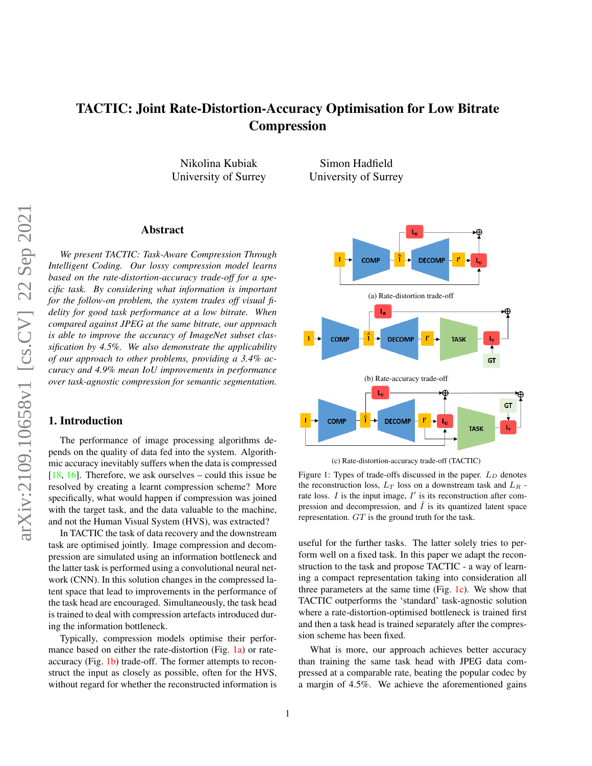# <span id="page-0-1"></span>TACTIC: Joint Rate-Distortion-Accuracy Optimisation for Low Bitrate Compression

Nikolina Kubiak University of Surrey

Simon Hadfield University of Surrey

# Abstract

*We present TACTIC: Task-Aware Compression Through Intelligent Coding. Our lossy compression model learns based on the rate-distortion-accuracy trade-off for a specific task. By considering what information is important for the follow-on problem, the system trades off visual fidelity for good task performance at a low bitrate. When compared against JPEG at the same bitrate, our approach is able to improve the accuracy of ImageNet subset classification by 4.5%. We also demonstrate the applicability of our approach to other problems, providing a 3.4% accuracy and 4.9% mean IoU improvements in performance over task-agnostic compression for semantic segmentation.*

# 1. Introduction

The performance of image processing algorithms depends on the quality of data fed into the system. Algorithmic accuracy inevitably suffers when the data is compressed [\[18,](#page-4-0) [16\]](#page-4-1). Therefore, we ask ourselves – could this issue be resolved by creating a learnt compression scheme? More specifically, what would happen if compression was joined with the target task, and the data valuable to the machine, and not the Human Visual System (HVS), was extracted?

In TACTIC the task of data recovery and the downstream task are optimised jointly. Image compression and decompression are simulated using an information bottleneck and the latter task is performed using a convolutional neural network (CNN). In this solution changes in the compressed latent space that lead to improvements in the performance of the task head are encouraged. Simultaneously, the task head is trained to deal with compression artefacts introduced during the information bottleneck.

Typically, compression models optimise their perfor-mance based on either the rate-distortion (Fig. [1a\)](#page-0-0) or rateaccuracy (Fig. [1b\)](#page-0-0) trade-off. The former attempts to reconstruct the input as closely as possible, often for the HVS, without regard for whether the reconstructed information is

<span id="page-0-0"></span>

(c) Rate-distortion-accuracy trade-off (TACTIC)

Figure 1: Types of trade-offs discussed in the paper.  $L_D$  denotes the reconstruction loss,  $L_T$  loss on a downstream task and  $L_R$  rate loss.  $I$  is the input image,  $I'$  is its reconstruction after compression and decompression, and  $\tilde{I}$  is its quantized latent space representation. GT is the ground truth for the task.

useful for the further tasks. The latter solely tries to perform well on a fixed task. In this paper we adapt the reconstruction to the task and propose TACTIC - a way of learning a compact representation taking into consideration all three parameters at the same time (Fig.  $1c$ ). We show that TACTIC outperforms the 'standard' task-agnostic solution where a rate-distortion-optimised bottleneck is trained first and then a task head is trained separately after the compression scheme has been fixed.

What is more, our approach achieves better accuracy than training the same task head with JPEG data compressed at a comparable rate, beating the popular codec by a margin of 4.5%. We achieve the aforementioned gains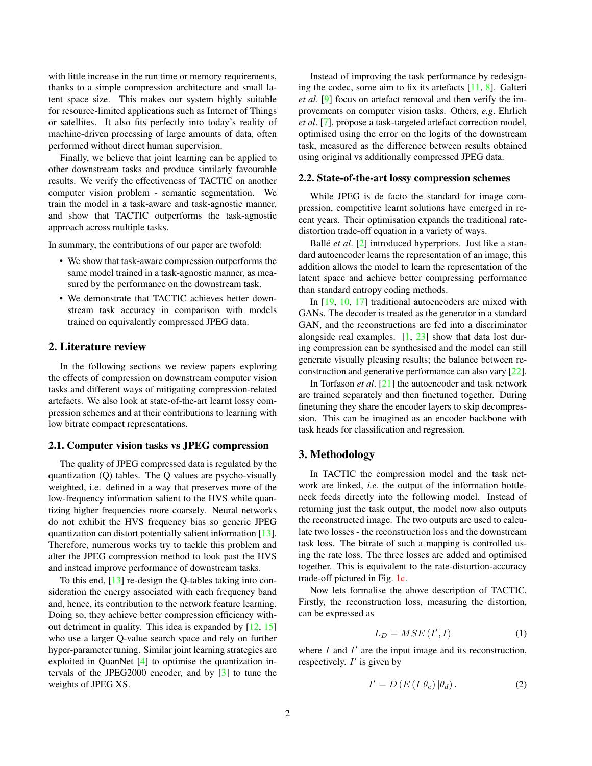<span id="page-1-1"></span>with little increase in the run time or memory requirements, thanks to a simple compression architecture and small latent space size. This makes our system highly suitable for resource-limited applications such as Internet of Things or satellites. It also fits perfectly into today's reality of machine-driven processing of large amounts of data, often performed without direct human supervision.

Finally, we believe that joint learning can be applied to other downstream tasks and produce similarly favourable results. We verify the effectiveness of TACTIC on another computer vision problem - semantic segmentation. We train the model in a task-aware and task-agnostic manner, and show that TACTIC outperforms the task-agnostic approach across multiple tasks.

In summary, the contributions of our paper are twofold:

- We show that task-aware compression outperforms the same model trained in a task-agnostic manner, as measured by the performance on the downstream task.
- We demonstrate that TACTIC achieves better downstream task accuracy in comparison with models trained on equivalently compressed JPEG data.

## 2. Literature review

In the following sections we review papers exploring the effects of compression on downstream computer vision tasks and different ways of mitigating compression-related artefacts. We also look at state-of-the-art learnt lossy compression schemes and at their contributions to learning with low bitrate compact representations.

## 2.1. Computer vision tasks vs JPEG compression

The quality of JPEG compressed data is regulated by the quantization (Q) tables. The Q values are psycho-visually weighted, i.e. defined in a way that preserves more of the low-frequency information salient to the HVS while quantizing higher frequencies more coarsely. Neural networks do not exhibit the HVS frequency bias so generic JPEG quantization can distort potentially salient information [\[13\]](#page-4-2). Therefore, numerous works try to tackle this problem and alter the JPEG compression method to look past the HVS and instead improve performance of downstream tasks.

To this end, [\[13\]](#page-4-2) re-design the Q-tables taking into consideration the energy associated with each frequency band and, hence, its contribution to the network feature learning. Doing so, they achieve better compression efficiency without detriment in quality. This idea is expanded by [\[12,](#page-4-3) [15\]](#page-4-4) who use a larger Q-value search space and rely on further hyper-parameter tuning. Similar joint learning strategies are exploited in QuanNet [\[4\]](#page-4-5) to optimise the quantization intervals of the JPEG2000 encoder, and by [\[3\]](#page-4-6) to tune the weights of JPEG XS.

Instead of improving the task performance by redesigning the codec, some aim to fix its artefacts  $[11, 8]$  $[11, 8]$  $[11, 8]$ . Galteri *et al*. [\[9\]](#page-4-9) focus on artefact removal and then verify the improvements on computer vision tasks. Others, *e.g*. Ehrlich *et al*. [\[7\]](#page-4-10), propose a task-targeted artefact correction model, optimised using the error on the logits of the downstream task, measured as the difference between results obtained using original vs additionally compressed JPEG data.

#### 2.2. State-of-the-art lossy compression schemes

While JPEG is de facto the standard for image compression, competitive learnt solutions have emerged in recent years. Their optimisation expands the traditional ratedistortion trade-off equation in a variety of ways.

Ballé *et al.* [\[2\]](#page-4-11) introduced hyperpriors. Just like a standard autoencoder learns the representation of an image, this addition allows the model to learn the representation of the latent space and achieve better compressing performance than standard entropy coding methods.

In [\[19,](#page-4-12) [10,](#page-4-13) [17\]](#page-4-14) traditional autoencoders are mixed with GANs. The decoder is treated as the generator in a standard GAN, and the reconstructions are fed into a discriminator alongside real examples. [\[1,](#page-4-15) [23\]](#page-4-16) show that data lost during compression can be synthesised and the model can still generate visually pleasing results; the balance between reconstruction and generative performance can also vary [\[22\]](#page-4-17).

In Torfason *et al*. [\[21\]](#page-4-18) the autoencoder and task network are trained separately and then finetuned together. During finetuning they share the encoder layers to skip decompression. This can be imagined as an encoder backbone with task heads for classification and regression.

## 3. Methodology

In TACTIC the compression model and the task network are linked, *i.e*. the output of the information bottleneck feeds directly into the following model. Instead of returning just the task output, the model now also outputs the reconstructed image. The two outputs are used to calculate two losses - the reconstruction loss and the downstream task loss. The bitrate of such a mapping is controlled using the rate loss. The three losses are added and optimised together. This is equivalent to the rate-distortion-accuracy trade-off pictured in Fig. [1c.](#page-0-0)

Now lets formalise the above description of TACTIC. Firstly, the reconstruction loss, measuring the distortion, can be expressed as

<span id="page-1-0"></span>
$$
L_D = MSE(I', I) \tag{1}
$$

where  $I$  and  $I'$  are the input image and its reconstruction, respectively.  $I'$  is given by

$$
I' = D\left(E\left(I|\theta_e\right)|\theta_d\right). \tag{2}
$$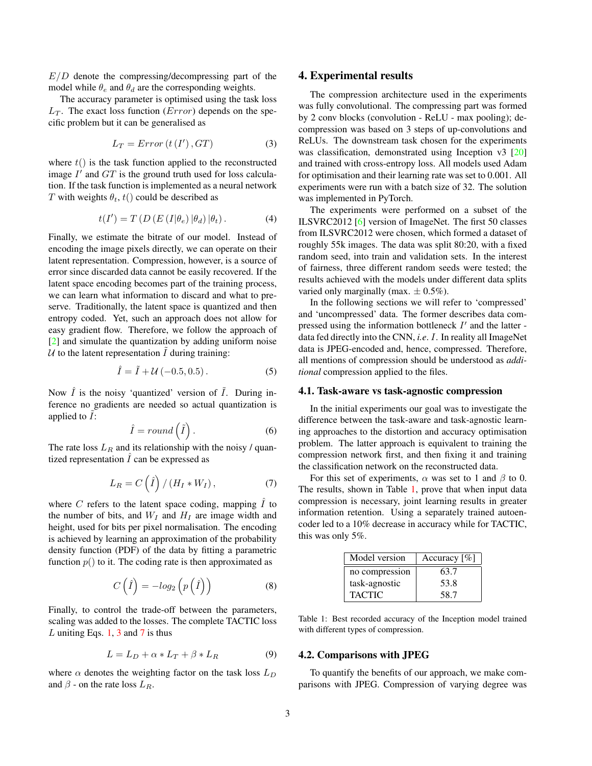<span id="page-2-3"></span> $E/D$  denote the compressing/decompressing part of the model while  $\theta_e$  and  $\theta_d$  are the corresponding weights.

The accuracy parameter is optimised using the task loss  $L<sub>T</sub>$ . The exact loss function (*Error*) depends on the specific problem but it can be generalised as

<span id="page-2-0"></span>
$$
L_T = Error\left(t\left(I'\right), GT\right) \tag{3}
$$

where  $t()$  is the task function applied to the reconstructed image  $I'$  and  $GT$  is the ground truth used for loss calculation. If the task function is implemented as a neural network T with weights  $\theta_t$ ,  $t()$  could be described as

$$
t(I') = T(D(E(I|\theta_e)|\theta_d) |\theta_t).
$$
 (4)

Finally, we estimate the bitrate of our model. Instead of encoding the image pixels directly, we can operate on their latent representation. Compression, however, is a source of error since discarded data cannot be easily recovered. If the latent space encoding becomes part of the training process, we can learn what information to discard and what to preserve. Traditionally, the latent space is quantized and then entropy coded. Yet, such an approach does not allow for easy gradient flow. Therefore, we follow the approach of [\[2\]](#page-4-11) and simulate the quantization by adding uniform noise  $U$  to the latent representation  $I$  during training:

$$
\hat{I} = \tilde{I} + \mathcal{U}(-0.5, 0.5). \tag{5}
$$

Now  $\hat{I}$  is the noisy 'quantized' version of  $\tilde{I}$ . During inference no gradients are needed so actual quantization is applied to  $I$ :

$$
\hat{I} = round\left(\tilde{I}\right). \tag{6}
$$

The rate loss  $L_R$  and its relationship with the noisy / quantized representation  $\overline{I}$  can be expressed as

<span id="page-2-1"></span>
$$
L_R = C\left(\hat{I}\right) / \left(H_I * W_I\right),\tag{7}
$$

where  $C$  refers to the latent space coding, mapping  $\hat{I}$  to the number of bits, and  $W_I$  and  $H_I$  are image width and height, used for bits per pixel normalisation. The encoding is achieved by learning an approximation of the probability density function (PDF) of the data by fitting a parametric function  $p()$  to it. The coding rate is then approximated as

$$
C\left(\hat{I}\right) = -\log_2\left(p\left(\hat{I}\right)\right) \tag{8}
$$

Finally, to control the trade-off between the parameters, scaling was added to the losses. The complete TACTIC loss L uniting Eqs. [1,](#page-1-0) [3](#page-2-0) and [7](#page-2-1) is thus

$$
L = L_D + \alpha * L_T + \beta * L_R \tag{9}
$$

where  $\alpha$  denotes the weighting factor on the task loss  $L_D$ and  $\beta$  - on the rate loss  $L_R$ .

#### 4. Experimental results

The compression architecture used in the experiments was fully convolutional. The compressing part was formed by 2 conv blocks (convolution - ReLU - max pooling); decompression was based on 3 steps of up-convolutions and ReLUs. The downstream task chosen for the experiments was classification, demonstrated using Inception v3 [\[20\]](#page-4-19) and trained with cross-entropy loss. All models used Adam for optimisation and their learning rate was set to 0.001. All experiments were run with a batch size of 32. The solution was implemented in PyTorch.

The experiments were performed on a subset of the ILSVRC2012 [\[6\]](#page-4-20) version of ImageNet. The first 50 classes from ILSVRC2012 were chosen, which formed a dataset of roughly 55k images. The data was split 80:20, with a fixed random seed, into train and validation sets. In the interest of fairness, three different random seeds were tested; the results achieved with the models under different data splits varied only marginally (max.  $\pm$  0.5%).

In the following sections we will refer to 'compressed' and 'uncompressed' data. The former describes data compressed using the information bottleneck  $I'$  and the latter data fed directly into the CNN, *i.e*. I. In reality all ImageNet data is JPEG-encoded and, hence, compressed. Therefore, all mentions of compression should be understood as *additional* compression applied to the files.

#### 4.1. Task-aware vs task-agnostic compression

In the initial experiments our goal was to investigate the difference between the task-aware and task-agnostic learning approaches to the distortion and accuracy optimisation problem. The latter approach is equivalent to training the compression network first, and then fixing it and training the classification network on the reconstructed data.

For this set of experiments,  $\alpha$  was set to 1 and  $\beta$  to 0. The results, shown in Table [1,](#page-2-2) prove that when input data compression is necessary, joint learning results in greater information retention. Using a separately trained autoencoder led to a 10% decrease in accuracy while for TACTIC, this was only 5%.

<span id="page-2-2"></span>

| Model version  | Accuracy $[\%]$ |
|----------------|-----------------|
| no compression | 63.7            |
| task-agnostic  | 53.8            |
| <b>TACTIC</b>  | 58.7            |

Table 1: Best recorded accuracy of the Inception model trained with different types of compression.

#### 4.2. Comparisons with JPEG

To quantify the benefits of our approach, we make comparisons with JPEG. Compression of varying degree was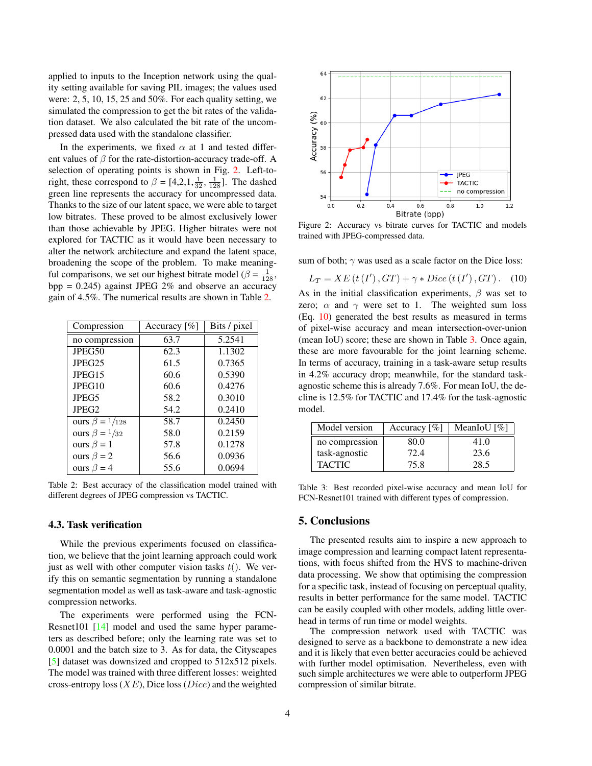<span id="page-3-4"></span>applied to inputs to the Inception network using the quality setting available for saving PIL images; the values used were: 2, 5, 10, 15, 25 and 50%. For each quality setting, we simulated the compression to get the bit rates of the validation dataset. We also calculated the bit rate of the uncompressed data used with the standalone classifier.

In the experiments, we fixed  $\alpha$  at 1 and tested different values of  $\beta$  for the rate-distortion-accuracy trade-off. A selection of operating points is shown in Fig. [2.](#page-3-0) Left-toright, these correspond to  $\beta = [4, 2, 1, \frac{1}{32}, \frac{1}{128}]$ . The dashed green line represents the accuracy for uncompressed data. Thanks to the size of our latent space, we were able to target low bitrates. These proved to be almost exclusively lower than those achievable by JPEG. Higher bitrates were not explored for TACTIC as it would have been necessary to alter the network architecture and expand the latent space, broadening the scope of the problem. To make meaningful comparisons, we set our highest bitrate model ( $\beta = \frac{1}{128}$ ,  $bpp = 0.245$ ) against JPEG 2% and observe an accuracy gain of 4.5%. The numerical results are shown in Table [2.](#page-3-1)

<span id="page-3-1"></span>

| Compression                  | Accuracy $[\%]$ | Bits / pixel |
|------------------------------|-----------------|--------------|
| no compression               | 63.7            | 5.2541       |
| JPEG50                       | 62.3            | 1.1302       |
| JPEG25                       | 61.5            | 0.7365       |
| JPEG15                       | 60.6            | 0.5390       |
| JPEG10                       | 60.6            | 0.4276       |
| JPEG5                        | 58.2            | 0.3010       |
| JPEG <sub>2</sub>            | 54.2            | 0.2410       |
| ours $\beta = \frac{1}{128}$ | 58.7            | 0.2450       |
| ours $\beta = \frac{1}{32}$  | 58.0            | 0.2159       |
| ours $\beta = 1$             | 57.8            | 0.1278       |
| ours $\beta = 2$             | 56.6            | 0.0936       |
| ours $\beta = 4$             | 55.6            | 0.0694       |

Table 2: Best accuracy of the classification model trained with different degrees of JPEG compression vs TACTIC.

#### 4.3. Task verification

While the previous experiments focused on classification, we believe that the joint learning approach could work just as well with other computer vision tasks  $t()$ . We verify this on semantic segmentation by running a standalone segmentation model as well as task-aware and task-agnostic compression networks.

The experiments were performed using the FCN-Resnet101 [\[14\]](#page-4-21) model and used the same hyper parameters as described before; only the learning rate was set to 0.0001 and the batch size to 3. As for data, the Cityscapes [\[5\]](#page-4-22) dataset was downsized and cropped to 512x512 pixels. The model was trained with three different losses: weighted cross-entropy loss  $(XE)$ , Dice loss  $(Dice)$  and the weighted

<span id="page-3-0"></span>

Figure 2: Accuracy vs bitrate curves for TACTIC and models trained with JPEG-compressed data.

sum of both;  $\gamma$  was used as a scale factor on the Dice loss:

<span id="page-3-2"></span>
$$
L_T = XE(t(I'), GT) + \gamma * Dice(t(I'), GT). \quad (10)
$$

As in the initial classification experiments,  $\beta$  was set to zero;  $\alpha$  and  $\gamma$  were set to 1. The weighted sum loss (Eq. [10\)](#page-3-2) generated the best results as measured in terms of pixel-wise accuracy and mean intersection-over-union (mean IoU) score; these are shown in Table [3.](#page-3-3) Once again, these are more favourable for the joint learning scheme. In terms of accuracy, training in a task-aware setup results in 4.2% accuracy drop; meanwhile, for the standard taskagnostic scheme this is already 7.6%. For mean IoU, the decline is 12.5% for TACTIC and 17.4% for the task-agnostic model.

<span id="page-3-3"></span>

| Model version  | Accuracy $[\%]$ | MeanIoU $[\%]$ |
|----------------|-----------------|----------------|
| no compression | 80.0            | 41.0           |
| task-agnostic  | 72.4            | 23.6           |
| <b>TACTIC</b>  | 75.8            | 28.5           |

Table 3: Best recorded pixel-wise accuracy and mean IoU for FCN-Resnet101 trained with different types of compression.

#### 5. Conclusions

The presented results aim to inspire a new approach to image compression and learning compact latent representations, with focus shifted from the HVS to machine-driven data processing. We show that optimising the compression for a specific task, instead of focusing on perceptual quality, results in better performance for the same model. TACTIC can be easily coupled with other models, adding little overhead in terms of run time or model weights.

The compression network used with TACTIC was designed to serve as a backbone to demonstrate a new idea and it is likely that even better accuracies could be achieved with further model optimisation. Nevertheless, even with such simple architectures we were able to outperform JPEG compression of similar bitrate.